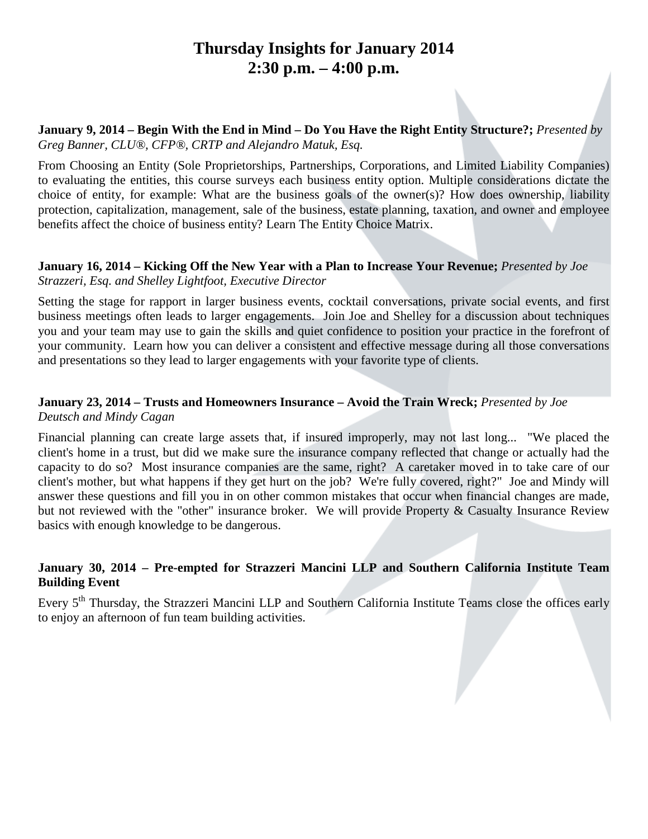### **Thursday Insights for January 2014 2:30 p.m. – 4:00 p.m.**

**January 9, 2014 – Begin With the End in Mind – Do You Have the Right Entity Structure?;** *Presented by Greg Banner, CLU®, CFP®, CRTP and Alejandro Matuk, Esq.*

From Choosing an Entity (Sole Proprietorships, Partnerships, Corporations, and Limited Liability Companies) to evaluating the entities, this course surveys each business entity option. Multiple considerations dictate the choice of entity, for example: What are the business goals of the owner(s)? How does ownership, liability protection, capitalization, management, sale of the business, estate planning, taxation, and owner and employee benefits affect the choice of business entity? Learn The Entity Choice Matrix.

#### **January 16, 2014 – Kicking Off the New Year with a Plan to Increase Your Revenue;** *Presented by Joe Strazzeri, Esq. and Shelley Lightfoot, Executive Director*

Setting the stage for rapport in larger business events, cocktail conversations, private social events, and first business meetings often leads to larger engagements. Join Joe and Shelley for a discussion about techniques you and your team may use to gain the skills and quiet confidence to position your practice in the forefront of your community. Learn how you can deliver a consistent and effective message during all those conversations and presentations so they lead to larger engagements with your favorite type of clients.

#### **January 23, 2014 – Trusts and Homeowners Insurance – Avoid the Train Wreck;** *Presented by Joe Deutsch and Mindy Cagan*

Financial planning can create large assets that, if insured improperly, may not last long... "We placed the client's home in a trust, but did we make sure the insurance company reflected that change or actually had the capacity to do so? Most insurance companies are the same, right? A caretaker moved in to take care of our client's mother, but what happens if they get hurt on the job? We're fully covered, right?" Joe and Mindy will answer these questions and fill you in on other common mistakes that occur when financial changes are made, but not reviewed with the "other" insurance broker. We will provide Property & Casualty Insurance Review basics with enough knowledge to be dangerous.

#### **January 30, 2014 – Pre-empted for Strazzeri Mancini LLP and Southern California Institute Team Building Event**

Every 5<sup>th</sup> Thursday, the Strazzeri Mancini LLP and Southern California Institute Teams close the offices early to enjoy an afternoon of fun team building activities.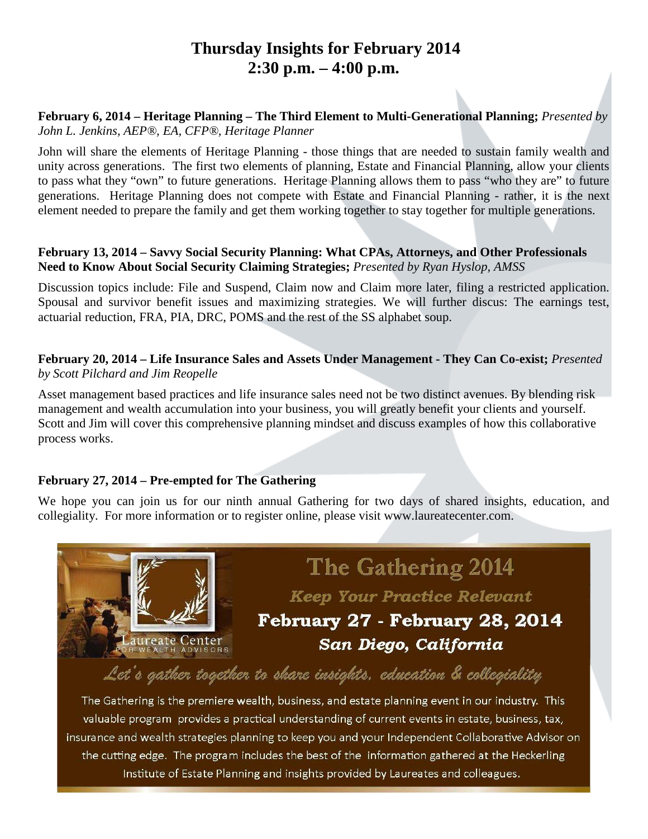## **Thursday Insights for February 2014 2:30 p.m. – 4:00 p.m.**

#### **February 6, 2014 – Heritage Planning – The Third Element to Multi-Generational Planning;** *Presented by John L. Jenkins, AEP®, EA, CFP®, Heritage Planner*

John will share the elements of Heritage Planning - those things that are needed to sustain family wealth and unity across generations. The first two elements of planning, Estate and Financial Planning, allow your clients to pass what they "own" to future generations. Heritage Planning allows them to pass "who they are" to future generations. Heritage Planning does not compete with Estate and Financial Planning - rather, it is the next element needed to prepare the family and get them working together to stay together for multiple generations.

#### **February 13, 2014 – Savvy Social Security Planning: What CPAs, Attorneys, and Other Professionals Need to Know About Social Security Claiming Strategies;** *Presented by Ryan Hyslop, AMSS*

Discussion topics include: File and Suspend, Claim now and Claim more later, filing a restricted application. Spousal and survivor benefit issues and maximizing strategies. We will further discus: The earnings test, actuarial reduction, FRA, PIA, DRC, POMS and the rest of the SS alphabet soup.

**February 20, 2014 – Life Insurance Sales and Assets Under Management - They Can Co-exist;** *Presented by Scott Pilchard and Jim Reopelle* 

Asset management based practices and life insurance sales need not be two distinct avenues. By blending risk management and wealth accumulation into your business, you will greatly benefit your clients and yourself. Scott and Jim will cover this comprehensive planning mindset and discuss examples of how this collaborative process works.

#### **February 27, 2014 – Pre-empted for The Gathering**

We hope you can join us for our ninth annual Gathering for two days of shared insights, education, and collegiality. For more information or to register online, please visit www.laureatecenter.com.

# **The Gathering 2014 Keep Your Practice Relevant** February 27 - February 28, 2014 aureate Center San Diego, California Let's gather together to share insights, education & collegiality

The Gathering is the premiere wealth, business, and estate planning event in our industry. This valuable program provides a practical understanding of current events in estate, business, tax, insurance and wealth strategies planning to keep you and your Independent Collaborative Advisor on the cutting edge. The program includes the best of the information gathered at the Heckerling Institute of Estate Planning and insights provided by Laureates and colleagues.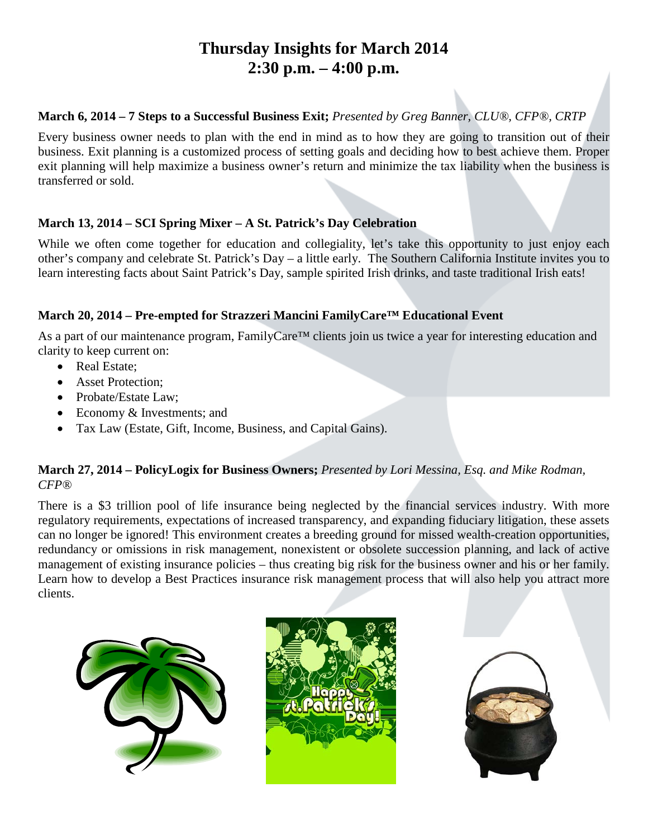# **Thursday Insights for March 2014 2:30 p.m. – 4:00 p.m.**

#### **March 6, 2014 – 7 Steps to a Successful Business Exit;** *Presented by Greg Banner, CLU®, CFP®, CRTP*

Every business owner needs to plan with the end in mind as to how they are going to transition out of their business. Exit planning is a customized process of setting goals and deciding how to best achieve them. Proper exit planning will help maximize a business owner's return and minimize the tax liability when the business is transferred or sold.

#### **March 13, 2014 – SCI Spring Mixer – A St. Patrick's Day Celebration**

While we often come together for education and collegiality, let's take this opportunity to just enjoy each other's company and celebrate St. Patrick's Day – a little early. The Southern California Institute invites you to learn interesting facts about Saint Patrick's Day, sample spirited Irish drinks, and taste traditional Irish eats!

#### **March 20, 2014 – Pre-empted for Strazzeri Mancini FamilyCare™ Educational Event**

As a part of our maintenance program, FamilyCare<sup>™</sup> clients join us twice a year for interesting education and clarity to keep current on:

- Real Estate;
- Asset Protection:
- Probate/Estate Law;
- Economy & Investments; and
- Tax Law (Estate, Gift, Income, Business, and Capital Gains).

#### **March 27, 2014 – PolicyLogix for Business Owners;** *Presented by Lori Messina, Esq. and Mike Rodman, CFP®*

There is a \$3 trillion pool of life insurance being neglected by the financial services industry. With more regulatory requirements, expectations of increased transparency, and expanding fiduciary litigation, these assets can no longer be ignored! This environment creates a breeding ground for missed wealth-creation opportunities, redundancy or omissions in risk management, nonexistent or obsolete succession planning, and lack of active management of existing insurance policies – thus creating big risk for the business owner and his or her family. Learn how to develop a Best Practices insurance risk management process that will also help you attract more clients.





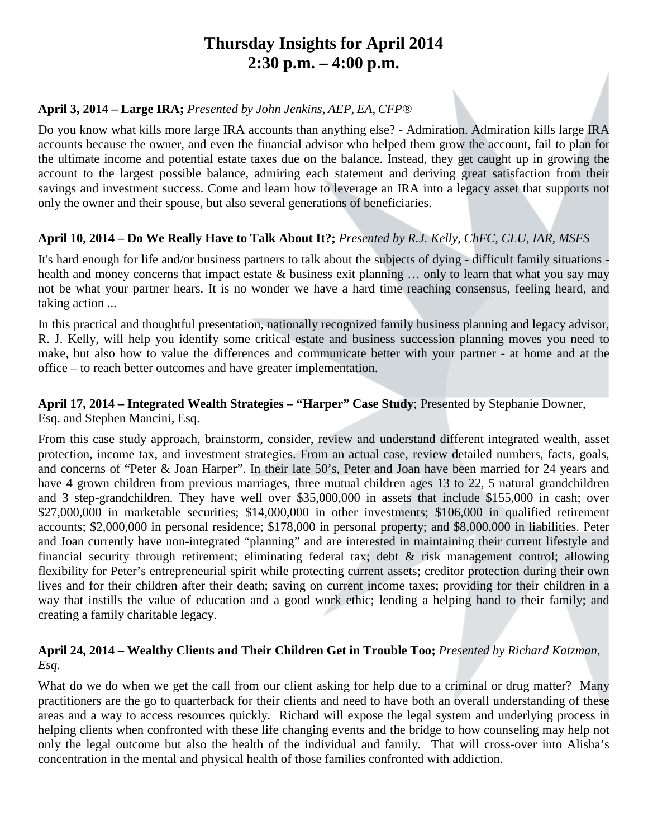### **Thursday Insights for April 2014 2:30 p.m. – 4:00 p.m.**

#### **April 3, 2014 – Large IRA;** *Presented by John Jenkins, AEP, EA, CFP®*

Do you know what kills more large IRA accounts than anything else? - Admiration. Admiration kills large IRA accounts because the owner, and even the financial advisor who helped them grow the account, fail to plan for the ultimate income and potential estate taxes due on the balance. Instead, they get caught up in growing the account to the largest possible balance, admiring each statement and deriving great satisfaction from their savings and investment success. Come and learn how to leverage an IRA into a legacy asset that supports not only the owner and their spouse, but also several generations of beneficiaries.

#### **April 10, 2014 – Do We Really Have to Talk About It?;** *Presented by R.J. Kelly, ChFC, CLU, IAR, MSFS*

It's hard enough for life and/or business partners to talk about the subjects of dying - difficult family situations health and money concerns that impact estate & business exit planning ... only to learn that what you say may not be what your partner hears. It is no wonder we have a hard time reaching consensus, feeling heard, and taking action ...

In this practical and thoughtful presentation, nationally recognized family business planning and legacy advisor, R. J. Kelly, will help you identify some critical estate and business succession planning moves you need to make, but also how to value the differences and communicate better with your partner - at home and at the office – to reach better outcomes and have greater implementation.

### **April 17, 2014 – Integrated Wealth Strategies – "Harper" Case Study**; Presented by Stephanie Downer,

Esq. and Stephen Mancini, Esq.

From this case study approach, brainstorm, consider, review and understand different integrated wealth, asset protection, income tax, and investment strategies. From an actual case, review detailed numbers, facts, goals, and concerns of "Peter & Joan Harper". In their late 50's, Peter and Joan have been married for 24 years and have 4 grown children from previous marriages, three mutual children ages 13 to 22, 5 natural grandchildren and 3 step-grandchildren. They have well over \$35,000,000 in assets that include \$155,000 in cash; over \$27,000,000 in marketable securities; \$14,000,000 in other investments; \$106,000 in qualified retirement accounts; \$2,000,000 in personal residence; \$178,000 in personal property; and \$8,000,000 in liabilities. Peter and Joan currently have non-integrated "planning" and are interested in maintaining their current lifestyle and financial security through retirement; eliminating federal tax; debt & risk management control; allowing flexibility for Peter's entrepreneurial spirit while protecting current assets; creditor protection during their own lives and for their children after their death; saving on current income taxes; providing for their children in a way that instills the value of education and a good work ethic; lending a helping hand to their family; and creating a family charitable legacy.

#### **April 24, 2014 – Wealthy Clients and Their Children Get in Trouble Too;** *Presented by Richard Katzman, Esq.*

What do we do when we get the call from our client asking for help due to a criminal or drug matter? Many practitioners are the go to quarterback for their clients and need to have both an overall understanding of these areas and a way to access resources quickly. Richard will expose the legal system and underlying process in helping clients when confronted with these life changing events and the bridge to how counseling may help not only the legal outcome but also the health of the individual and family. That will cross-over into Alisha's concentration in the mental and physical health of those families confronted with addiction.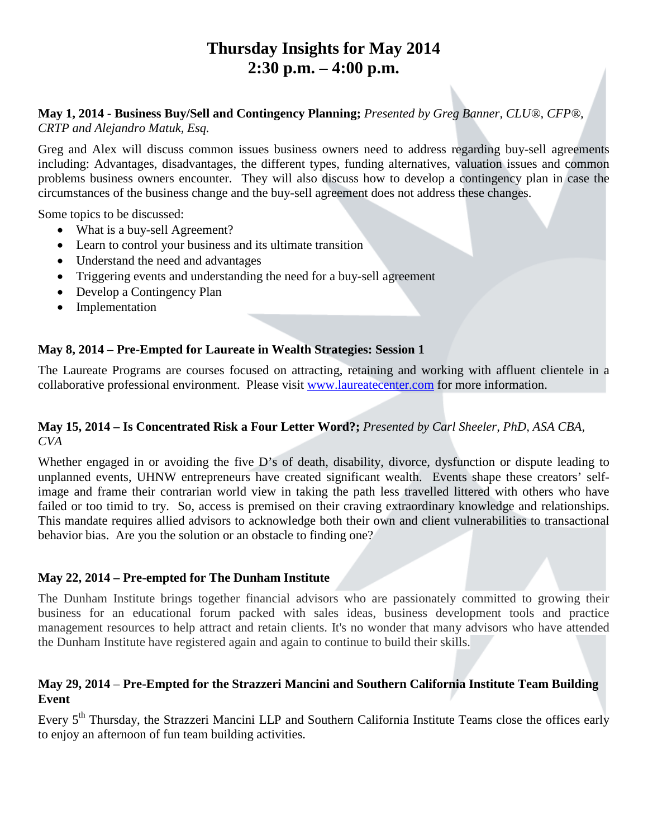## **Thursday Insights for May 2014 2:30 p.m. – 4:00 p.m.**

### **May 1, 2014 - Business Buy/Sell and Contingency Planning;** *Presented by Greg Banner, CLU®, CFP®,*

*CRTP and Alejandro Matuk, Esq.*

Greg and Alex will discuss common issues business owners need to address regarding buy-sell agreements including: Advantages, disadvantages, the different types, funding alternatives, valuation issues and common problems business owners encounter. They will also discuss how to develop a contingency plan in case the circumstances of the business change and the buy-sell agreement does not address these changes.

Some topics to be discussed:

- What is a buy-sell Agreement?
- Learn to control your business and its ultimate transition
- Understand the need and advantages
- Triggering events and understanding the need for a buy-sell agreement
- Develop a Contingency Plan
- Implementation

#### **May 8, 2014 – Pre-Empted for Laureate in Wealth Strategies: Session 1**

The Laureate Programs are courses focused on attracting, retaining and working with affluent clientele in a collaborative professional environment. Please visit [www.laureatecenter.com](http://www.laureatecenter.com/) for more information.

#### **May 15, 2014 – Is Concentrated Risk a Four Letter Word?;** *Presented by Carl Sheeler, PhD, ASA CBA, CVA*

Whether engaged in or avoiding the five D's of death, disability, divorce, dysfunction or dispute leading to unplanned events, UHNW entrepreneurs have created significant wealth. Events shape these creators' selfimage and frame their contrarian world view in taking the path less travelled littered with others who have failed or too timid to try. So, access is premised on their craving extraordinary knowledge and relationships. This mandate requires allied advisors to acknowledge both their own and client vulnerabilities to transactional behavior bias. Are you the solution or an obstacle to finding one?

#### **May 22, 2014 – Pre-empted for The Dunham Institute**

The Dunham Institute brings together financial advisors who are passionately committed to growing their business for an educational forum packed with sales ideas, business development tools and practice management resources to help attract and retain clients. It's no wonder that many advisors who have attended the Dunham Institute have registered again and again to continue to build their skills.

#### **May 29, 2014** – **Pre-Empted for the Strazzeri Mancini and Southern California Institute Team Building Event**

Every 5<sup>th</sup> Thursday, the Strazzeri Mancini LLP and Southern California Institute Teams close the offices early to enjoy an afternoon of fun team building activities.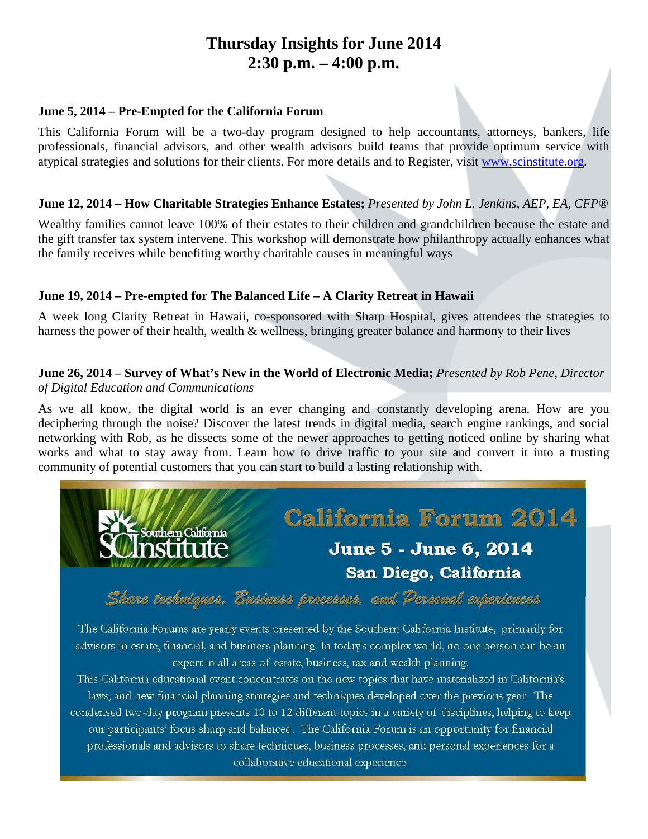## **Thursday Insights for June 2014 2:30 p.m. – 4:00 p.m.**

#### **June 5, 2014 – Pre-Empted for the California Forum**

This California Forum will be a two-day program designed to help accountants, attorneys, bankers, life professionals, financial advisors, and other wealth advisors build teams that provide optimum service with atypical strategies and solutions for their clients. For more details and to Register, visit [www.scinstitute.org.](http://www.scinstitute.org/)

#### **June 12, 2014 – How Charitable Strategies Enhance Estates;** *Presented by John L. Jenkins, AEP, EA, CFP®*

Wealthy families cannot leave 100% of their estates to their children and grandchildren because the estate and the gift transfer tax system intervene. This workshop will demonstrate how philanthropy actually enhances what the family receives while benefiting worthy charitable causes in meaningful ways

#### **June 19, 2014 – Pre-empted for The Balanced Life – A Clarity Retreat in Hawaii**

A week long Clarity Retreat in Hawaii, co-sponsored with Sharp Hospital, gives attendees the strategies to harness the power of their health, wealth & wellness, bringing greater balance and harmony to their lives

#### **June 26, 2014 – Survey of What's New in the World of Electronic Media;** *Presented by Rob Pene, Director of Digital Education and Communications*

As we all know, the digital world is an ever changing and constantly developing arena. How are you deciphering through the noise? Discover the latest trends in digital media, search engine rankings, and social networking with Rob, as he dissects some of the newer approaches to getting noticed online by sharing what works and what to stay away from. Learn how to drive traffic to your site and convert it into a trusting community of potential customers that you can start to build a lasting relationship with.



Share techniques. Eusiness processes. and Personal experiences

The California Forums are yearly events presented by the Southern California Institute, primarily for advisors in estate, financial, and business planning. In today's complex world, no one person can be an expert in all areas of estate, business, tax and wealth planning.

This California educational event concentrates on the new topics that have materialized in California's laws, and new financial planning strategies and techniques developed over the previous year. The condensed two-day program presents 10 to 12 different topics in a variety of disciplines, helping to keep our participants' focus sharp and balanced. The California Forum is an opportunity for financial professionals and advisors to share techniques, business processes, and personal experiences for a collaborative educational experience.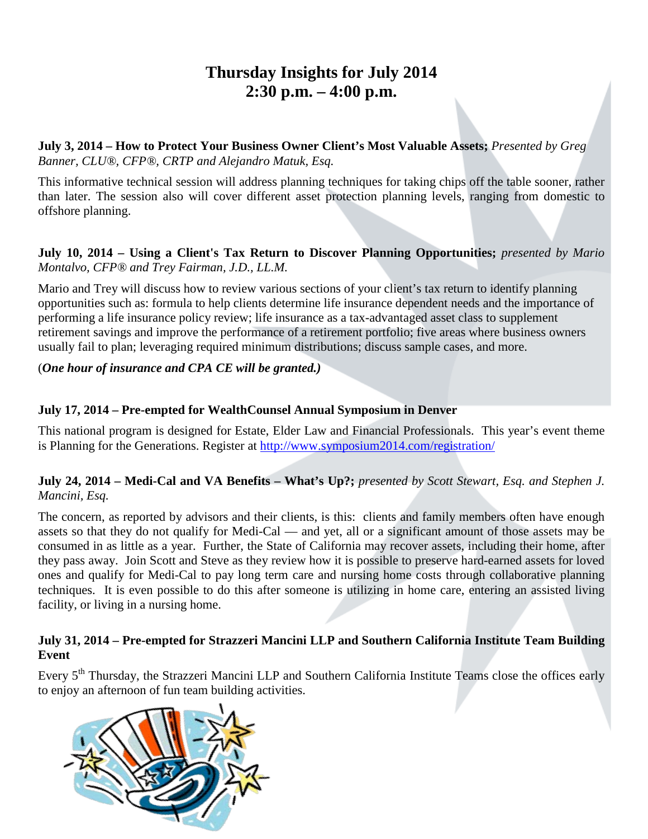### **Thursday Insights for July 2014 2:30 p.m. – 4:00 p.m.**

**July 3, 2014 – How to Protect Your Business Owner Client's Most Valuable Assets;** *Presented by Greg Banner, CLU®, CFP®, CRTP and Alejandro Matuk, Esq.*

This informative technical session will address planning techniques for taking chips off the table sooner, rather than later. The session also will cover different asset protection planning levels, ranging from domestic to offshore planning.

#### **July 10, 2014 – Using a Client's Tax Return to Discover Planning Opportunities;** *presented by Mario Montalvo, CFP® and Trey Fairman, J.D., LL.M.*

Mario and Trey will discuss how to review various sections of your client's tax return to identify planning opportunities such as: formula to help clients determine life insurance dependent needs and the importance of performing a life insurance policy review; life insurance as a tax-advantaged asset class to supplement retirement savings and improve the performance of a retirement portfolio; five areas where business owners usually fail to plan; leveraging required minimum distributions; discuss sample cases, and more.

#### (*One hour of insurance and CPA CE will be granted.)*

#### **July 17, 2014 – Pre-empted for WealthCounsel Annual Symposium in Denver**

This national program is designed for Estate, Elder Law and Financial Professionals. This year's event theme is Planning for the Generations. Register at<http://www.symposium2014.com/registration/>

#### **July 24, 2014 – Medi-Cal and VA Benefits – What's Up?;** *presented by Scott Stewart, Esq. and Stephen J. Mancini, Esq.*

The concern, as reported by advisors and their clients, is this: clients and family members often have enough assets so that they do not qualify for Medi-Cal — and yet, all or a significant amount of those assets may be consumed in as little as a year. Further, the State of California may recover assets, including their home, after they pass away. Join Scott and Steve as they review how it is possible to preserve hard-earned assets for loved ones and qualify for Medi-Cal to pay long term care and nursing home costs through collaborative planning techniques. It is even possible to do this after someone is utilizing in home care, entering an assisted living facility, or living in a nursing home.

#### **July 31, 2014 – Pre-empted for Strazzeri Mancini LLP and Southern California Institute Team Building Event**

Every 5<sup>th</sup> Thursday, the Strazzeri Mancini LLP and Southern California Institute Teams close the offices early to enjoy an afternoon of fun team building activities.

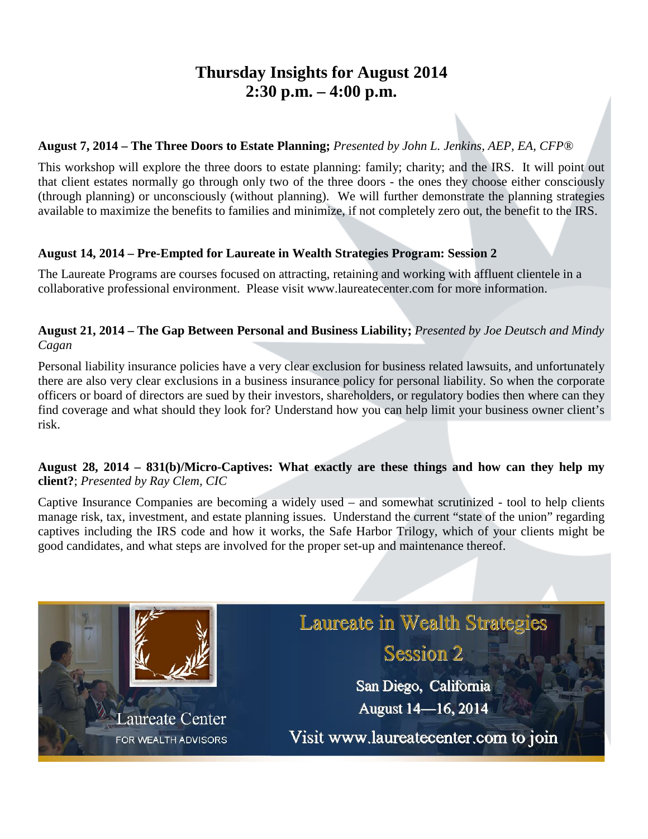### **Thursday Insights for August 2014 2:30 p.m. – 4:00 p.m.**

#### **August 7, 2014 – The Three Doors to Estate Planning;** *Presented by John L. Jenkins, AEP, EA, CFP®*

This workshop will explore the three doors to estate planning: family; charity; and the IRS. It will point out that client estates normally go through only two of the three doors - the ones they choose either consciously (through planning) or unconsciously (without planning). We will further demonstrate the planning strategies available to maximize the benefits to families and minimize, if not completely zero out, the benefit to the IRS.

#### **August 14, 2014 – Pre-Empted for Laureate in Wealth Strategies Program: Session 2**

The Laureate Programs are courses focused on attracting, retaining and working with affluent clientele in a collaborative professional environment. Please visit www.laureatecenter.com for more information.

#### **August 21, 2014 – The Gap Between Personal and Business Liability;** *Presented by Joe Deutsch and Mindy Cagan*

Personal liability insurance policies have a very clear exclusion for business related lawsuits, and unfortunately there are also very clear exclusions in a business insurance policy for personal liability. So when the corporate officers or board of directors are sued by their investors, shareholders, or regulatory bodies then where can they find coverage and what should they look for? Understand how you can help limit your business owner client's risk.

#### **August 28, 2014 – 831(b)/Micro-Captives: What exactly are these things and how can they help my client?**; *Presented by Ray Clem, CIC*

Captive Insurance Companies are becoming a widely used – and somewhat scrutinized - tool to help clients manage risk, tax, investment, and estate planning issues. Understand the current "state of the union" regarding captives including the IRS code and how it works, the Safe Harbor Trilogy, which of your clients might be good candidates, and what steps are involved for the proper set-up and maintenance thereof.

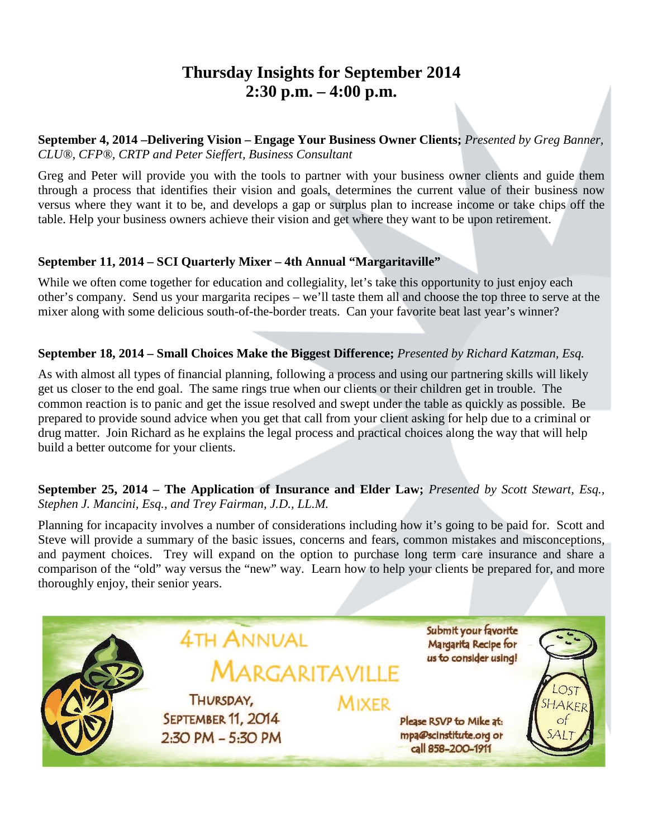### **Thursday Insights for September 2014 2:30 p.m. – 4:00 p.m.**

**September 4, 2014 –Delivering Vision – Engage Your Business Owner Clients;** *Presented by Greg Banner, CLU®, CFP®, CRTP and Peter Sieffert, Business Consultant*

Greg and Peter will provide you with the tools to partner with your business owner clients and guide them through a process that identifies their vision and goals, determines the current value of their business now versus where they want it to be, and develops a gap or surplus plan to increase income or take chips off the table. Help your business owners achieve their vision and get where they want to be upon retirement.

#### **September 11, 2014 – SCI Quarterly Mixer – 4th Annual "Margaritaville"**

While we often come together for education and collegiality, let's take this opportunity to just enjoy each other's company. Send us your margarita recipes – we'll taste them all and choose the top three to serve at the mixer along with some delicious south-of-the-border treats. Can your favorite beat last year's winner?

#### **September 18, 2014 – Small Choices Make the Biggest Difference;** *Presented by Richard Katzman, Esq.*

As with almost all types of financial planning, following a process and using our partnering skills will likely get us closer to the end goal. The same rings true when our clients or their children get in trouble. The common reaction is to panic and get the issue resolved and swept under the table as quickly as possible. Be prepared to provide sound advice when you get that call from your client asking for help due to a criminal or drug matter. Join Richard as he explains the legal process and practical choices along the way that will help build a better outcome for your clients.

#### **September 25, 2014 – The Application of Insurance and Elder Law;** *Presented by Scott Stewart, Esq., Stephen J. Mancini, Esq., and Trey Fairman, J.D., LL.M.*

Planning for incapacity involves a number of considerations including how it's going to be paid for. Scott and Steve will provide a summary of the basic issues, concerns and fears, common mistakes and misconceptions, and payment choices. Trey will expand on the option to purchase long term care insurance and share a comparison of the "old" way versus the "new" way. Learn how to help your clients be prepared for, and more thoroughly enjoy, their senior years.

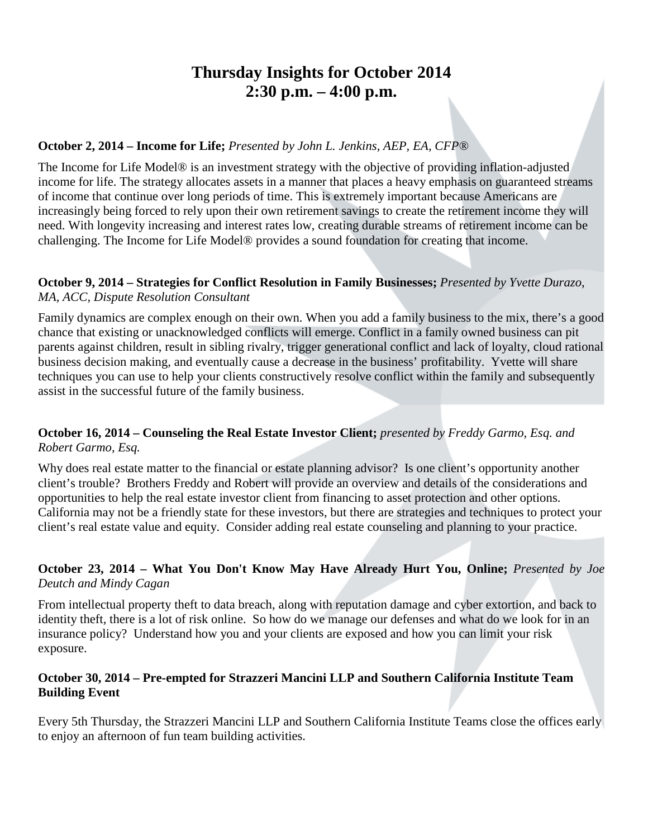### **Thursday Insights for October 2014 2:30 p.m. – 4:00 p.m.**

#### **October 2, 2014 – Income for Life;** *Presented by John L. Jenkins, AEP, EA, CFP®*

The Income for Life Model® is an investment strategy with the objective of providing inflation-adjusted income for life. The strategy allocates assets in a manner that places a heavy emphasis on guaranteed streams of income that continue over long periods of time. This is extremely important because Americans are increasingly being forced to rely upon their own retirement savings to create the retirement income they will need. With longevity increasing and interest rates low, creating durable streams of retirement income can be challenging. The Income for Life Model® provides a sound foundation for creating that income.

### **October 9, 2014 – Strategies for Conflict Resolution in Family Businesses;** *Presented by Yvette Durazo,*

### *MA, ACC, Dispute Resolution Consultant*

Family dynamics are complex enough on their own. When you add a family business to the mix, there's a good chance that existing or unacknowledged conflicts will emerge. Conflict in a family owned business can pit parents against children, result in sibling rivalry, trigger generational conflict and lack of loyalty, cloud rational business decision making, and eventually cause a decrease in the business' profitability. Yvette will share techniques you can use to help your clients constructively resolve conflict within the family and subsequently assist in the successful future of the family business.

#### **October 16, 2014 – Counseling the Real Estate Investor Client;** *presented by Freddy Garmo, Esq. and Robert Garmo, Esq.*

Why does real estate matter to the financial or estate planning advisor? Is one client's opportunity another client's trouble? Brothers Freddy and Robert will provide an overview and details of the considerations and opportunities to help the real estate investor client from financing to asset protection and other options. California may not be a friendly state for these investors, but there are strategies and techniques to protect your client's real estate value and equity. Consider adding real estate counseling and planning to your practice.

#### **October 23, 2014 – What You Don't Know May Have Already Hurt You, Online;** *Presented by Joe Deutch and Mindy Cagan*

From intellectual property theft to data breach, along with reputation damage and cyber extortion, and back to identity theft, there is a lot of risk online. So how do we manage our defenses and what do we look for in an insurance policy? Understand how you and your clients are exposed and how you can limit your risk exposure.

#### **October 30, 2014 – Pre-empted for Strazzeri Mancini LLP and Southern California Institute Team Building Event**

Every 5th Thursday, the Strazzeri Mancini LLP and Southern California Institute Teams close the offices early to enjoy an afternoon of fun team building activities.